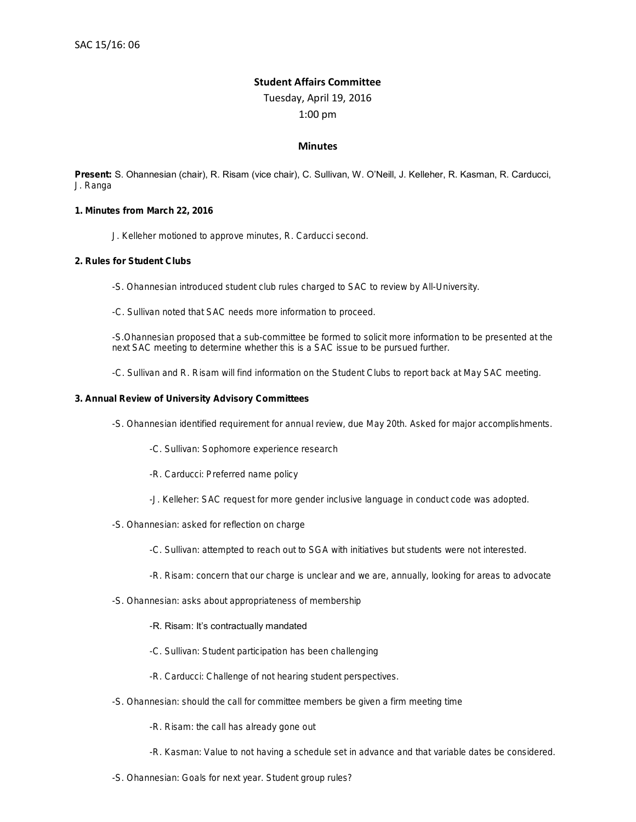## **Student Affairs Committee**

# Tuesday, April 19, 2016

# 1:00 pm

#### **Minutes**

**Present: S. Ohannesian (chair), R. Risam (vice chair), C. Sullivan, W. O'Neill, J. Kelleher, R. Kasman, R. Carducci, J. Ranga**

- **1. Minutes from March 22, 2016**
	- **J. Kelleher motioned to approve minutes, R. Carducci second.**
- **2. Rules for Student Clubs**
	- **-S. Ohannesian introduced student club rules charged to SAC to review by All-University.**
	- **-C. Sullivan noted that SAC needs more information to proceed.**

**-S.Ohannesian proposed that a sub-committee be formed to solicit more information to be presented at the next SAC meeting to determine whether this is a SAC issue to be pursued further.**

- **-C. Sullivan and R. Risam will find information on the Student Clubs to report back at May SAC meeting.**
- **3. Annual Review of University Advisory Committees**
	- **-S. Ohannesian identified requirement for annual review, due May 20th. Asked for major accomplishments.**
		- **-C. Sullivan: Sophomore experience research**
		- **-R. Carducci: Preferred name policy**
		- **-J. Kelleher: SAC request for more gender inclusive language in conduct code was adopted.**
	- **-S. Ohannesian: asked for reflection on charge**
		- **-C. Sullivan: attempted to reach out to SGA with initiatives but students were not interested.**
		- **-R. Risam: concern that our charge is unclear and we are, annually, looking for areas to advocate**
	- **-S. Ohannesian: asks about appropriateness of membership**

#### **-R. Risam: It's contractually mandated**

- **-C. Sullivan: Student participation has been challenging**
- **-R. Carducci: Challenge of not hearing student perspectives.**
- **-S. Ohannesian: should the call for committee members be given a firm meeting time**

**-R. Risam: the call has already gone out**

- **-R. Kasman: Value to not having a schedule set in advance and that variable dates be considered.**
- **-S. Ohannesian: Goals for next year. Student group rules?**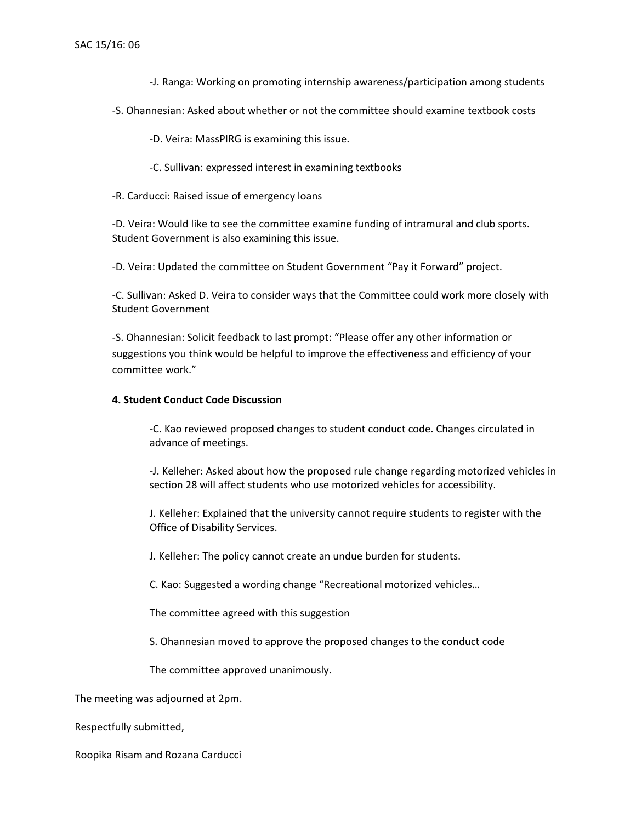- -J. Ranga: Working on promoting internship awareness/participation among students
- -S. Ohannesian: Asked about whether or not the committee should examine textbook costs
	- -D. Veira: MassPIRG is examining this issue.
	- -C. Sullivan: expressed interest in examining textbooks
- -R. Carducci: Raised issue of emergency loans

-D. Veira: Would like to see the committee examine funding of intramural and club sports. Student Government is also examining this issue.

-D. Veira: Updated the committee on Student Government "Pay it Forward" project.

-C. Sullivan: Asked D. Veira to consider ways that the Committee could work more closely with Student Government

-S. Ohannesian: Solicit feedback to last prompt: "Please offer any other information or suggestions you think would be helpful to improve the effectiveness and efficiency of your committee work."

### **4. Student Conduct Code Discussion**

-C. Kao reviewed proposed changes to student conduct code. Changes circulated in advance of meetings.

-J. Kelleher: Asked about how the proposed rule change regarding motorized vehicles in section 28 will affect students who use motorized vehicles for accessibility.

J. Kelleher: Explained that the university cannot require students to register with the Office of Disability Services.

J. Kelleher: The policy cannot create an undue burden for students.

C. Kao: Suggested a wording change "Recreational motorized vehicles…

The committee agreed with this suggestion

S. Ohannesian moved to approve the proposed changes to the conduct code

The committee approved unanimously.

The meeting was adjourned at 2pm.

Respectfully submitted,

Roopika Risam and Rozana Carducci